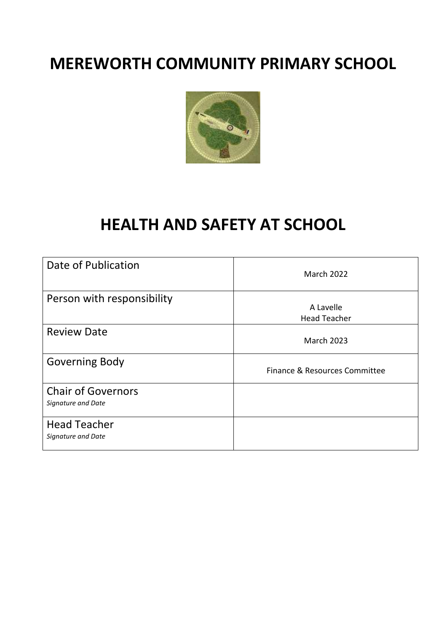## **MEREWORTH COMMUNITY PRIMARY SCHOOL**



# **HEALTH AND SAFETY AT SCHOOL**

| Date of Publication                             | <b>March 2022</b>             |
|-------------------------------------------------|-------------------------------|
| Person with responsibility                      | A Lavelle                     |
|                                                 | <b>Head Teacher</b>           |
| <b>Review Date</b>                              | <b>March 2023</b>             |
| Governing Body                                  | Finance & Resources Committee |
| <b>Chair of Governors</b><br>Signature and Date |                               |
| <b>Head Teacher</b><br>Signature and Date       |                               |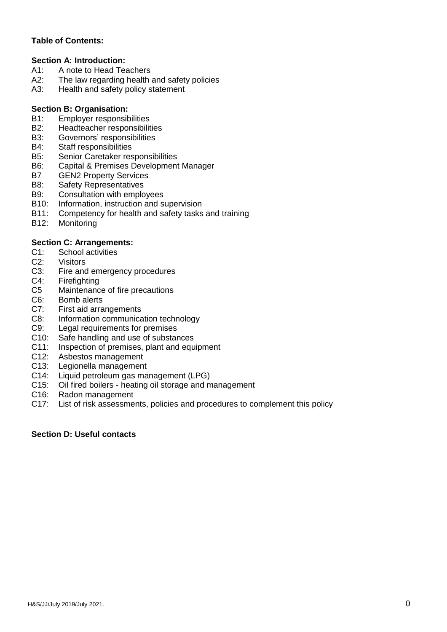## **Table of Contents:**

#### **Section A: Introduction:**

- A1: A note to Head Teachers<br>A2: The law regarding health
- The law regarding health and safety policies
- A3: Health and safety policy statement

#### **Section B: Organisation:**

- B1: Employer responsibilities
- B2: Headteacher responsibilities
- B3: Governors' responsibilities
- B4: Staff responsibilities
- B5: Senior Caretaker responsibilities
- B6: Capital & Premises Development Manager
- B7 GEN2 Property Services
- B8: Safety Representatives
- B9: Consultation with employees
- B10: Information, instruction and supervision
- B11: Competency for health and safety tasks and training
- B12: Monitoring

## **Section C: Arrangements:**

- C1: School activities
- C2: Visitors
- C3: Fire and emergency procedures
- C4: Firefighting
- C5 Maintenance of fire precautions
- C6: Bomb alerts
- C7: First aid arrangements
- C8: Information communication technology
- C9: Legal requirements for premises
- C10: Safe handling and use of substances
- C11: Inspection of premises, plant and equipment
- C12: Asbestos management<br>C13: Legionella management
- Legionella management
- C14: Liquid petroleum gas management (LPG)
- C15: Oil fired boilers heating oil storage and management
- C16: Radon management
- C17: List of risk assessments, policies and procedures to complement this policy

#### **Section D: Useful contacts**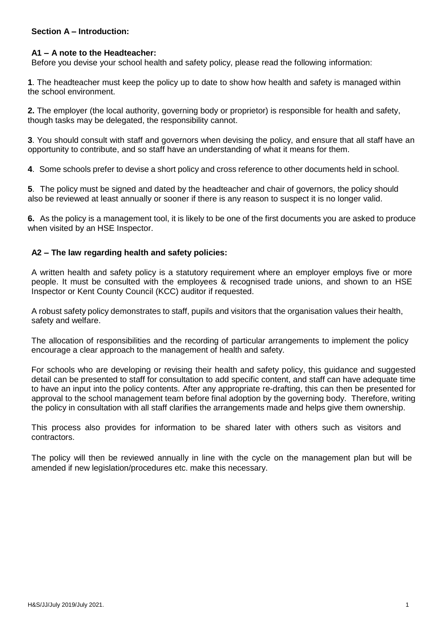#### **Section A – Introduction:**

#### **A1 – A note to the Headteacher:**

Before you devise your school health and safety policy, please read the following information:

**1**. The headteacher must keep the policy up to date to show how health and safety is managed within the school environment.

**2.** The employer (the local authority, governing body or proprietor) is responsible for health and safety, though tasks may be delegated, the responsibility cannot.

**3**. You should consult with staff and governors when devising the policy, and ensure that all staff have an opportunity to contribute, and so staff have an understanding of what it means for them.

**4**. Some schools prefer to devise a short policy and cross reference to other documents held in school.

**5**. The policy must be signed and dated by the headteacher and chair of governors, the policy should also be reviewed at least annually or sooner if there is any reason to suspect it is no longer valid.

**6.** As the policy is a management tool, it is likely to be one of the first documents you are asked to produce when visited by an HSE Inspector.

#### **A2 – The law regarding health and safety policies:**

A written health and safety policy is a statutory requirement where an employer employs five or more people. It must be consulted with the employees & recognised trade unions, and shown to an HSE Inspector or Kent County Council (KCC) auditor if requested.

A robust safety policy demonstrates to staff, pupils and visitors that the organisation values their health, safety and welfare.

The allocation of responsibilities and the recording of particular arrangements to implement the policy encourage a clear approach to the management of health and safety.

For schools who are developing or revising their health and safety policy, this guidance and suggested detail can be presented to staff for consultation to add specific content, and staff can have adequate time to have an input into the policy contents. After any appropriate re-drafting, this can then be presented for approval to the school management team before final adoption by the governing body. Therefore, writing the policy in consultation with all staff clarifies the arrangements made and helps give them ownership.

This process also provides for information to be shared later with others such as visitors and contractors.

The policy will then be reviewed annually in line with the cycle on the management plan but will be amended if new legislation/procedures etc. make this necessary.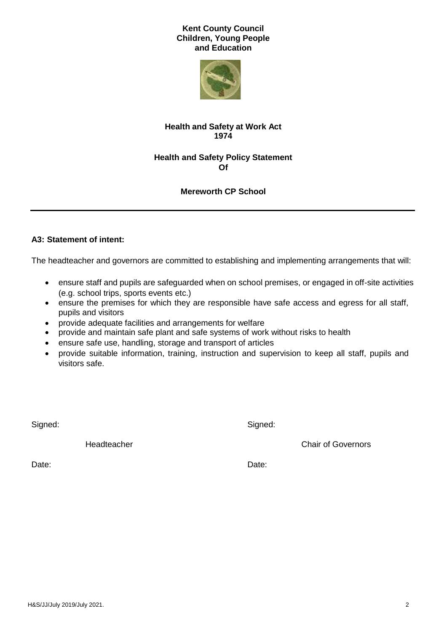#### **Kent County Council Children, Young People and Education**



## **Health and Safety at Work Act 1974**

## **Health and Safety Policy Statement Of**

## **Mereworth CP School**

## **A3: Statement of intent:**

The headteacher and governors are committed to establishing and implementing arrangements that will:

- ensure staff and pupils are safeguarded when on school premises, or engaged in off-site activities (e.g. school trips, sports events etc.)
- ensure the premises for which they are responsible have safe access and egress for all staff, pupils and visitors
- provide adequate facilities and arrangements for welfare
- provide and maintain safe plant and safe systems of work without risks to health
- ensure safe use, handling, storage and transport of articles
- provide suitable information, training, instruction and supervision to keep all staff, pupils and visitors safe.

Signed: Signed: Signed: Signed: Signed: Signed: Signed: Signed: Signed: Signed: Signed: Signed: Signed: Signed: Signed: Signed: Signed: Signed: Signed: Signed: Signed: Signed: Signed: Signed: Signed: Signed: Signed: Signed

**Headteacher Chair of Governors** Chair of Governors

Date: **Date:** Date: **Date: Date: Date: Date: Date: Date: Date: Date: Date: Date: Date: Date: Date: Date: Date: Date: Date: Date: Date: Date: Date: Date: Date: Date: Date: D**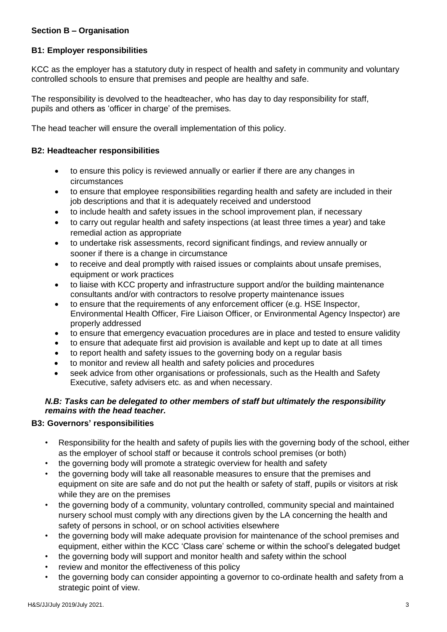## **Section B – Organisation**

#### **B1: Employer responsibilities**

KCC as the employer has a statutory duty in respect of health and safety in community and voluntary controlled schools to ensure that premises and people are healthy and safe.

The responsibility is devolved to the headteacher, who has day to day responsibility for staff, pupils and others as 'officer in charge' of the premises.

The head teacher will ensure the overall implementation of this policy.

#### **B2: Headteacher responsibilities**

- to ensure this policy is reviewed annually or earlier if there are any changes in circumstances
- to ensure that employee responsibilities regarding health and safety are included in their job descriptions and that it is adequately received and understood
- to include health and safety issues in the school improvement plan, if necessary
- to carry out regular health and safety inspections (at least three times a year) and take remedial action as appropriate
- to undertake risk assessments, record significant findings, and review annually or sooner if there is a change in circumstance
- to receive and deal promptly with raised issues or complaints about unsafe premises, equipment or work practices
- to liaise with KCC property and infrastructure support and/or the building maintenance consultants and/or with contractors to resolve property maintenance issues
- to ensure that the requirements of any enforcement officer (e.g. HSE Inspector, Environmental Health Officer, Fire Liaison Officer, or Environmental Agency Inspector) are properly addressed
- to ensure that emergency evacuation procedures are in place and tested to ensure validity
- to ensure that adequate first aid provision is available and kept up to date at all times
- to report health and safety issues to the governing body on a regular basis
- to monitor and review all health and safety policies and procedures
- seek advice from other organisations or professionals, such as the Health and Safety Executive, safety advisers etc. as and when necessary.

#### *N.B: Tasks can be delegated to other members of staff but ultimately the responsibility remains with the head teacher.*

#### **B3: Governors' responsibilities**

- Responsibility for the health and safety of pupils lies with the governing body of the school, either as the employer of school staff or because it controls school premises (or both)
- the governing body will promote a strategic overview for health and safety
- the governing body will take all reasonable measures to ensure that the premises and equipment on site are safe and do not put the health or safety of staff, pupils or visitors at risk while they are on the premises
- the governing body of a community, voluntary controlled, community special and maintained nursery school must comply with any directions given by the LA concerning the health and safety of persons in school, or on school activities elsewhere
- the governing body will make adequate provision for maintenance of the school premises and equipment, either within the KCC 'Class care' scheme or within the school's delegated budget
- the governing body will support and monitor health and safety within the school
- review and monitor the effectiveness of this policy
- the governing body can consider appointing a governor to co-ordinate health and safety from a strategic point of view.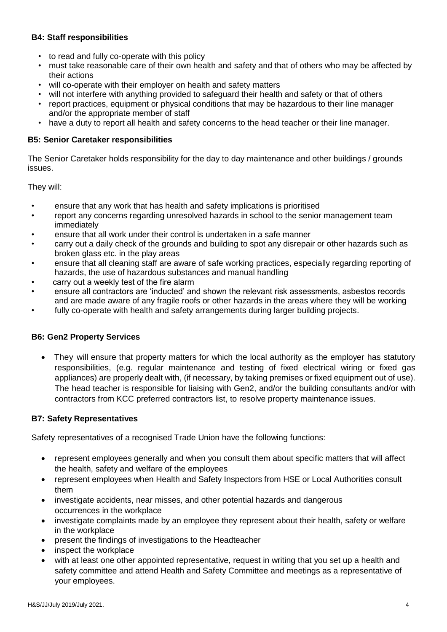## **B4: Staff responsibilities**

- to read and fully co-operate with this policy
- must take reasonable care of their own health and safety and that of others who may be affected by their actions
- will co-operate with their employer on health and safety matters
- will not interfere with anything provided to safeguard their health and safety or that of others
- report practices, equipment or physical conditions that may be hazardous to their line manager and/or the appropriate member of staff
- have a duty to report all health and safety concerns to the head teacher or their line manager.

#### **B5: Senior Caretaker responsibilities**

The Senior Caretaker holds responsibility for the day to day maintenance and other buildings / grounds issues.

They will:

- ensure that any work that has health and safety implications is prioritised
- report any concerns regarding unresolved hazards in school to the senior management team immediately
- ensure that all work under their control is undertaken in a safe manner
- carry out a daily check of the grounds and building to spot any disrepair or other hazards such as broken glass etc. in the play areas
- ensure that all cleaning staff are aware of safe working practices, especially regarding reporting of hazards, the use of hazardous substances and manual handling
- carry out a weekly test of the fire alarm
- ensure all contractors are 'inducted' and shown the relevant risk assessments, asbestos records and are made aware of any fragile roofs or other hazards in the areas where they will be working
- fully co-operate with health and safety arrangements during larger building projects.

## **B6: Gen2 Property Services**

 They will ensure that property matters for which the local authority as the employer has statutory responsibilities, (e.g. regular maintenance and testing of fixed electrical wiring or fixed gas appliances) are properly dealt with, (if necessary, by taking premises or fixed equipment out of use). The head teacher is responsible for liaising with Gen2, and/or the building consultants and/or with contractors from KCC preferred contractors list, to resolve property maintenance issues.

#### **B7: Safety Representatives**

Safety representatives of a recognised Trade Union have the following functions:

- represent employees generally and when you consult them about specific matters that will affect the health, safety and welfare of the employees
- represent employees when Health and Safety Inspectors from HSE or Local Authorities consult them
- investigate accidents, near misses, and other potential hazards and dangerous occurrences in the workplace
- investigate complaints made by an employee they represent about their health, safety or welfare in the workplace
- present the findings of investigations to the Headteacher
- inspect the workplace
- with at least one other appointed representative, request in writing that you set up a health and safety committee and attend Health and Safety Committee and meetings as a representative of your employees.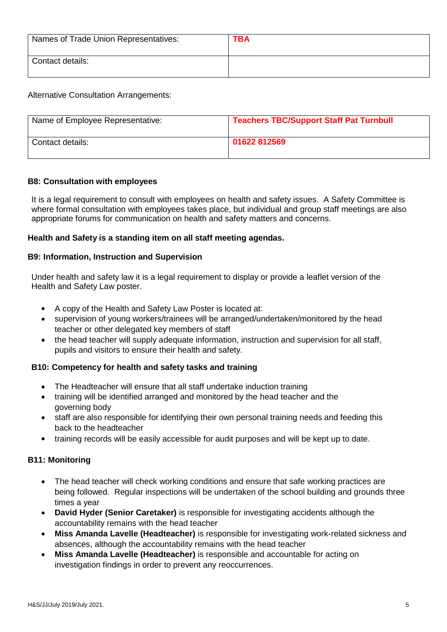| Names of Trade Union Representatives: | <b>TBA</b> |
|---------------------------------------|------------|
| Contact details:                      |            |

Alternative Consultation Arrangements:

| Name of Employee Representative: | <b>Teachers TBC/Support Staff Pat Turnbull</b> |
|----------------------------------|------------------------------------------------|
| Contact details:                 | 01622 812569                                   |

## **B8: Consultation with employees**

It is a legal requirement to consult with employees on health and safety issues. A Safety Committee is where formal consultation with employees takes place, but individual and group staff meetings are also appropriate forums for communication on health and safety matters and concerns.

## **Health and Safety is a standing item on all staff meeting agendas.**

#### **B9: Information, Instruction and Supervision**

Under health and safety law it is a legal requirement to display or provide a leaflet version of the Health and Safety Law poster.

- A copy of the Health and Safety Law Poster is located at:
- supervision of young workers/trainees will be arranged/undertaken/monitored by the head teacher or other delegated key members of staff
- the head teacher will supply adequate information, instruction and supervision for all staff, pupils and visitors to ensure their health and safety.

## **B10: Competency for health and safety tasks and training**

- The Headteacher will ensure that all staff undertake induction training
- training will be identified arranged and monitored by the head teacher and the governing body
- staff are also responsible for identifying their own personal training needs and feeding this back to the headteacher
- training records will be easily accessible for audit purposes and will be kept up to date.

## **B11: Monitoring**

- The head teacher will check working conditions and ensure that safe working practices are being followed. Regular inspections will be undertaken of the school building and grounds three times a year
- **David Hyder (Senior Caretaker)** is responsible for investigating accidents although the accountability remains with the head teacher
- **Miss Amanda Lavelle (Headteacher)** is responsible for investigating work-related sickness and absences, although the accountability remains with the head teacher
- **Miss Amanda Lavelle (Headteacher)** is responsible and accountable for acting on investigation findings in order to prevent any reoccurrences.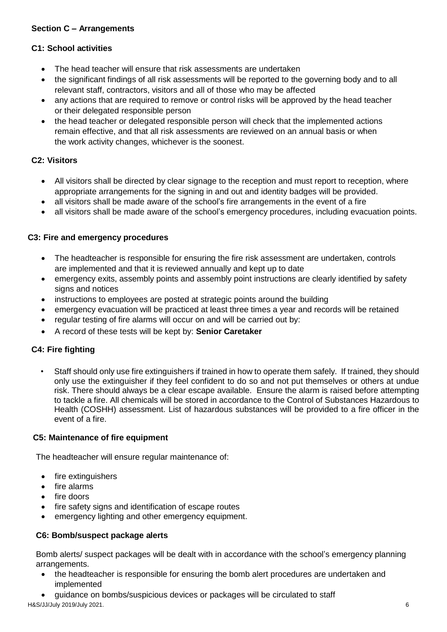## **Section C – Arrangements**

#### **C1: School activities**

- The head teacher will ensure that risk assessments are undertaken
- the significant findings of all risk assessments will be reported to the governing body and to all relevant staff, contractors, visitors and all of those who may be affected
- any actions that are required to remove or control risks will be approved by the head teacher or their delegated responsible person
- the head teacher or delegated responsible person will check that the implemented actions remain effective, and that all risk assessments are reviewed on an annual basis or when the work activity changes, whichever is the soonest.

## **C2: Visitors**

- All visitors shall be directed by clear signage to the reception and must report to reception, where appropriate arrangements for the signing in and out and identity badges will be provided.
- all visitors shall be made aware of the school's fire arrangements in the event of a fire
- all visitors shall be made aware of the school's emergency procedures, including evacuation points.

#### **C3: Fire and emergency procedures**

- The headteacher is responsible for ensuring the fire risk assessment are undertaken, controls are implemented and that it is reviewed annually and kept up to date
- emergency exits, assembly points and assembly point instructions are clearly identified by safety signs and notices
- instructions to employees are posted at strategic points around the building
- emergency evacuation will be practiced at least three times a year and records will be retained
- regular testing of fire alarms will occur on and will be carried out by:
- A record of these tests will be kept by: **Senior Caretaker**

#### **C4: Fire fighting**

• Staff should only use fire extinguishers if trained in how to operate them safely. If trained, they should only use the extinguisher if they feel confident to do so and not put themselves or others at undue risk. There should always be a clear escape available. Ensure the alarm is raised before attempting to tackle a fire. All chemicals will be stored in accordance to the Control of Substances Hazardous to Health (COSHH) assessment. List of hazardous substances will be provided to a fire officer in the event of a fire.

#### **C5: Maintenance of fire equipment**

The headteacher will ensure regular maintenance of:

- fire extinguishers
- fire alarms
- $\bullet$  fire doors
- fire safety signs and identification of escape routes
- emergency lighting and other emergency equipment.

#### **C6: Bomb/suspect package alerts**

Bomb alerts/ suspect packages will be dealt with in accordance with the school's emergency planning arrangements.

- the headteacher is responsible for ensuring the bomb alert procedures are undertaken and implemented
- guidance on bombs/suspicious devices or packages will be circulated to staff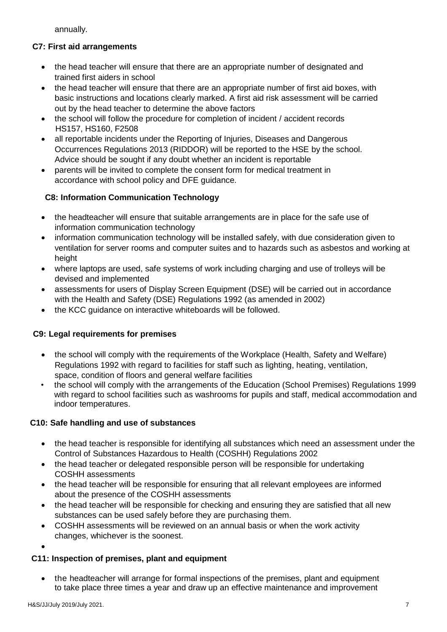annually.

## **C7: First aid arrangements**

- the head teacher will ensure that there are an appropriate number of designated and trained first aiders in school
- the head teacher will ensure that there are an appropriate number of first aid boxes, with basic instructions and locations clearly marked. A first aid risk assessment will be carried out by the head teacher to determine the above factors
- the school will follow the procedure for completion of incident / accident records HS157, HS160, F2508
- all reportable incidents under the Reporting of Injuries, Diseases and Dangerous Occurrences Regulations 2013 (RIDDOR) will be reported to the HSE by the school. Advice should be sought if any doubt whether an incident is reportable
- parents will be invited to complete the consent form for medical treatment in accordance with school policy and DFE guidance.

## **C8: Information Communication Technology**

- the headteacher will ensure that suitable arrangements are in place for the safe use of information communication technology
- information communication technology will be installed safely, with due consideration given to ventilation for server rooms and computer suites and to hazards such as asbestos and working at height
- where laptops are used, safe systems of work including charging and use of trolleys will be devised and implemented
- assessments for users of Display Screen Equipment (DSE) will be carried out in accordance with the Health and Safety (DSE) Regulations 1992 (as amended in 2002)
- the KCC guidance on interactive whiteboards will be followed.

## **C9: Legal requirements for premises**

- the school will comply with the requirements of the Workplace (Health, Safety and Welfare) Regulations 1992 with regard to facilities for staff such as lighting, heating, ventilation, space, condition of floors and general welfare facilities
- the school will comply with the arrangements of the Education (School Premises) Regulations 1999 with regard to school facilities such as washrooms for pupils and staff, medical accommodation and indoor temperatures.

## **C10: Safe handling and use of substances**

- the head teacher is responsible for identifying all substances which need an assessment under the Control of Substances Hazardous to Health (COSHH) Regulations 2002
- the head teacher or delegated responsible person will be responsible for undertaking COSHH assessments
- the head teacher will be responsible for ensuring that all relevant employees are informed about the presence of the COSHH assessments
- the head teacher will be responsible for checking and ensuring they are satisfied that all new substances can be used safely before they are purchasing them.
- COSHH assessments will be reviewed on an annual basis or when the work activity changes, whichever is the soonest.
- $\bullet$

## **C11: Inspection of premises, plant and equipment**

 the headteacher will arrange for formal inspections of the premises, plant and equipment to take place three times a year and draw up an effective maintenance and improvement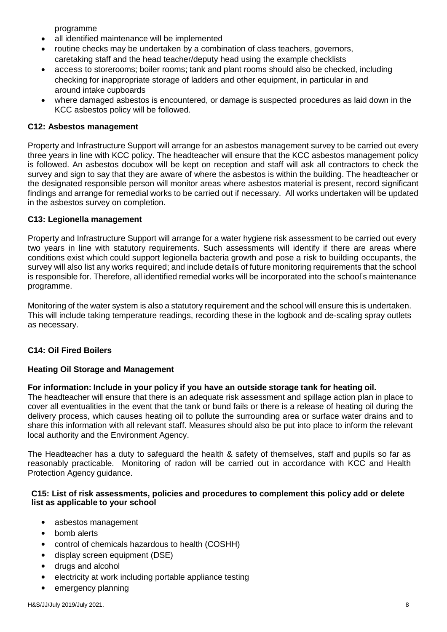programme

- all identified maintenance will be implemented
- routine checks may be undertaken by a combination of class teachers, governors, caretaking staff and the head teacher/deputy head using the example checklists
- access to storerooms; boiler rooms; tank and plant rooms should also be checked, including checking for inappropriate storage of ladders and other equipment, in particular in and around intake cupboards
- where damaged asbestos is encountered, or damage is suspected procedures as laid down in the KCC asbestos policy will be followed.

#### **C12: Asbestos management**

Property and Infrastructure Support will arrange for an asbestos management survey to be carried out every three years in line with KCC policy. The headteacher will ensure that the KCC asbestos management policy is followed. An asbestos docubox will be kept on reception and staff will ask all contractors to check the survey and sign to say that they are aware of where the asbestos is within the building. The headteacher or the designated responsible person will monitor areas where asbestos material is present, record significant findings and arrange for remedial works to be carried out if necessary. All works undertaken will be updated in the asbestos survey on completion.

#### **C13: Legionella management**

Property and Infrastructure Support will arrange for a water hygiene risk assessment to be carried out every two years in line with statutory requirements. Such assessments will identify if there are areas where conditions exist which could support legionella bacteria growth and pose a risk to building occupants, the survey will also list any works required; and include details of future monitoring requirements that the school is responsible for. Therefore, all identified remedial works will be incorporated into the school's maintenance programme.

Monitoring of the water system is also a statutory requirement and the school will ensure this is undertaken. This will include taking temperature readings, recording these in the logbook and de-scaling spray outlets as necessary.

#### **C14: Oil Fired Boilers**

#### **Heating Oil Storage and Management**

#### **For information: Include in your policy if you have an outside storage tank for heating oil.**

The headteacher will ensure that there is an adequate risk assessment and spillage action plan in place to cover all eventualities in the event that the tank or bund fails or there is a release of heating oil during the delivery process, which causes heating oil to pollute the surrounding area or surface water drains and to share this information with all relevant staff. Measures should also be put into place to inform the relevant local authority and the Environment Agency.

The Headteacher has a duty to safeguard the health & safety of themselves, staff and pupils so far as reasonably practicable. Monitoring of radon will be carried out in accordance with KCC and Health Protection Agency guidance.

#### **C15: List of risk assessments, policies and procedures to complement this policy add or delete list as applicable to your school**

- asbestos management
- bomb alerts
- control of chemicals hazardous to health (COSHH)
- display screen equipment (DSE)
- drugs and alcohol
- electricity at work including portable appliance testing
- emergency planning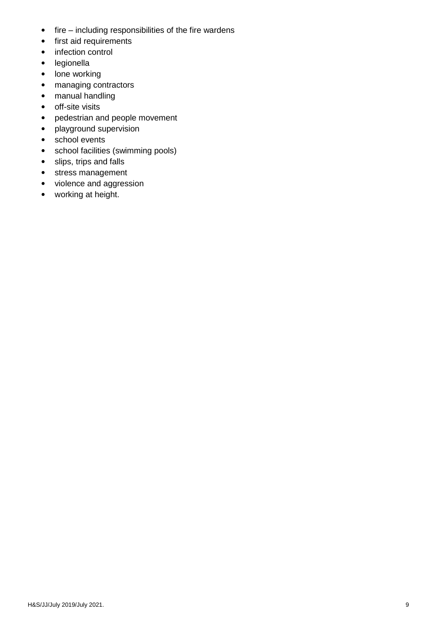- $\bullet$  fire including responsibilities of the fire wardens
- first aid requirements
- infection control
- legionella
- lone working
- managing contractors
- manual handling
- off-site visits
- pedestrian and people movement
- playground supervision
- school events
- school facilities (swimming pools)
- slips, trips and falls
- stress management
- violence and aggression
- working at height.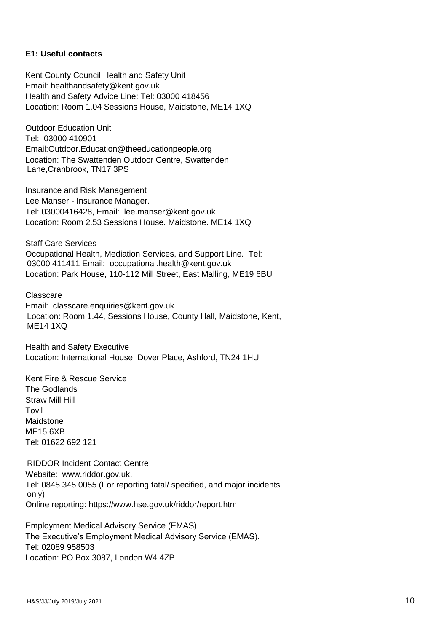#### **E1: Useful contacts**

Kent County Council Health and Safety Unit Email: healthandsafety@kent.gov.uk Health and Safety Advice Line: Tel: 03000 418456 Location: Room 1.04 Sessions House, Maidstone, ME14 1XQ

Outdoor Education Unit Tel: 03000 410901 Email:Outdoor.Education@theeducationpeople.org Location: The Swattenden Outdoor Centre, Swattenden Lane,Cranbrook, TN17 3PS

Insurance and Risk Management Lee Manser - Insurance Manager. Tel: 03000416428, Email: lee.manser@kent.gov.uk Location: Room 2.53 Sessions House. Maidstone. ME14 1XQ

Staff Care Services Occupational Health, Mediation Services, and Support Line. Tel: 03000 411411 Email: occupational.health@kent.gov.uk Location: Park House, 110-112 Mill Street, East Malling, ME19 6BU

Classcare Email: classcare.enquiries@kent.gov.uk Location: Room 1.44, Sessions House, County Hall, Maidstone, Kent, ME14 1XQ

Health and Safety Executive Location: International House, Dover Place, Ashford, TN24 1HU

Kent Fire & Rescue Service The Godlands Straw Mill Hill **Tovil** Maidstone ME15 6XB Tel: 01622 692 121

RIDDOR Incident Contact Centre Website: www.riddor.gov.uk. Tel: 0845 345 0055 (For reporting fatal/ specified, and major incidents only) Online reporting: https://www.hse.gov.uk/riddor/report.htm

Employment Medical Advisory Service (EMAS) The Executive's Employment Medical Advisory Service (EMAS). Tel: 02089 958503 Location: PO Box 3087, London W4 4ZP